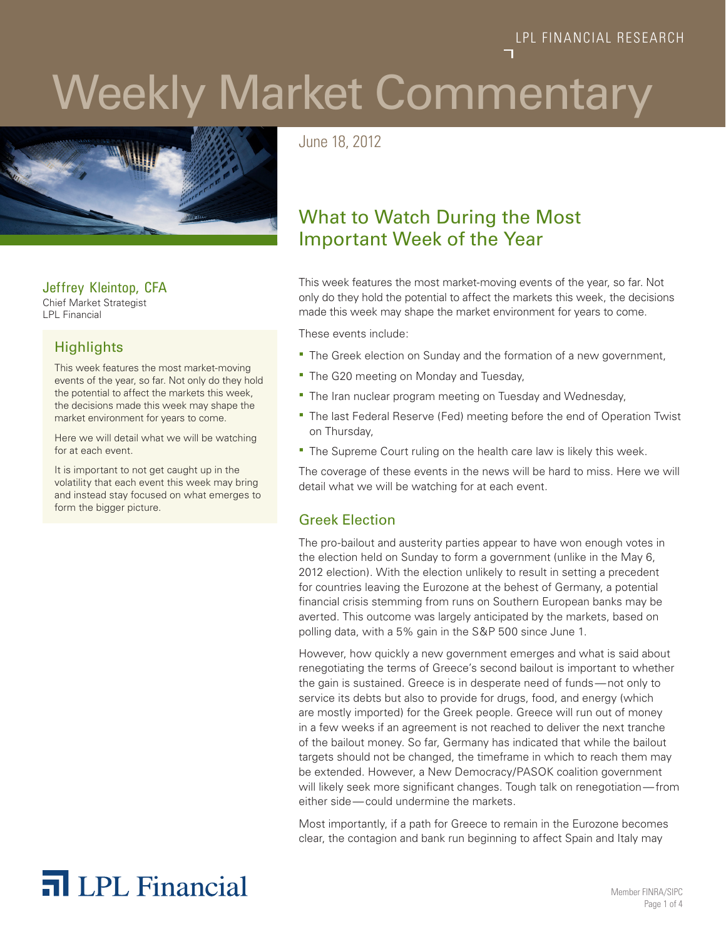# Weekly Market Commentary



Jeffrey Kleintop, CFA Chief Market Strategist

LPL Financial

# **Highlights**

This week features the most market-moving events of the year, so far. Not only do they hold the potential to affect the markets this week, the decisions made this week may shape the market environment for years to come.

Here we will detail what we will be watching for at each event.

It is important to not get caught up in the volatility that each event this week may bring and instead stay focused on what emerges to form the bigger picture.

June 18, 2012

# What to Watch During the Most Important Week of the Year

This week features the most market-moving events of the year, so far. Not only do they hold the potential to affect the markets this week, the decisions made this week may shape the market environment for years to come.

These events include:

- The Greek election on Sunday and the formation of a new government,
- **The G20 meeting on Monday and Tuesday,**
- **The Iran nuclear program meeting on Tuesday and Wednesday,**
- **The last Federal Reserve (Fed) meeting before the end of Operation Twist** on Thursday,
- **The Supreme Court ruling on the health care law is likely this week.**

The coverage of these events in the news will be hard to miss. Here we will detail what we will be watching for at each event.

# Greek Election

The pro-bailout and austerity parties appear to have won enough votes in the election held on Sunday to form a government (unlike in the May 6, 2012 election). With the election unlikely to result in setting a precedent for countries leaving the Eurozone at the behest of Germany, a potential financial crisis stemming from runs on Southern European banks may be averted. This outcome was largely anticipated by the markets, based on polling data, with a 5% gain in the S&P 500 since June 1.

However, how quickly a new government emerges and what is said about renegotiating the terms of Greece's second bailout is important to whether the gain is sustained. Greece is in desperate need of funds—not only to service its debts but also to provide for drugs, food, and energy (which are mostly imported) for the Greek people. Greece will run out of money in a few weeks if an agreement is not reached to deliver the next tranche of the bailout money. So far, Germany has indicated that while the bailout targets should not be changed, the timeframe in which to reach them may be extended. However, a New Democracy/PASOK coalition government will likely seek more significant changes. Tough talk on renegotiation—from either side—could undermine the markets.

Most importantly, if a path for Greece to remain in the Eurozone becomes clear, the contagion and bank run beginning to affect Spain and Italy may

# **T** LPL Financial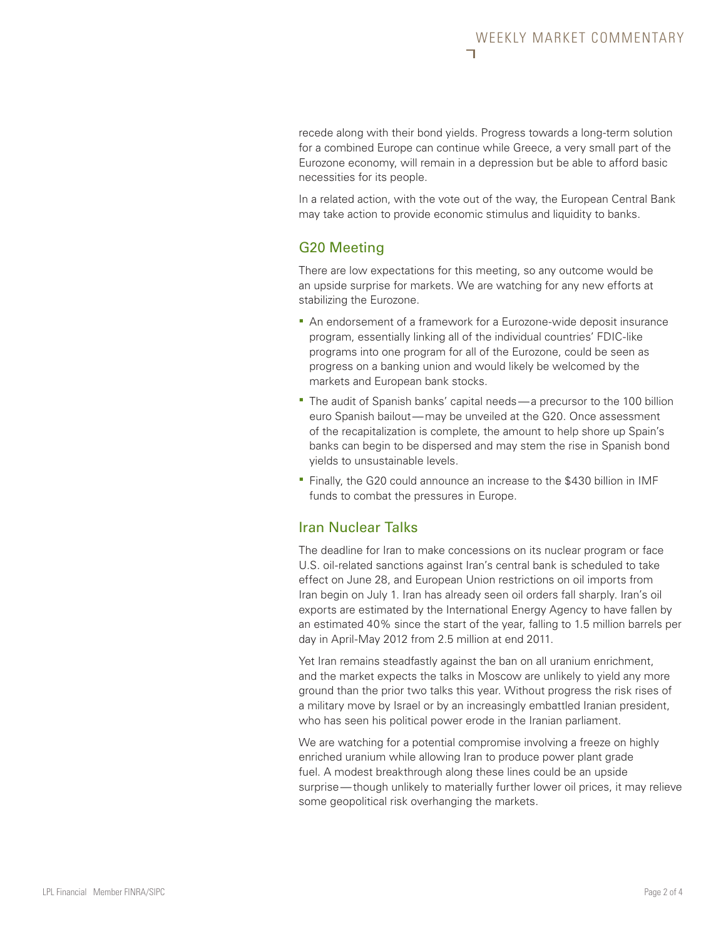recede along with their bond yields. Progress towards a long-term solution for a combined Europe can continue while Greece, a very small part of the Eurozone economy, will remain in a depression but be able to afford basic necessities for its people.

In a related action, with the vote out of the way, the European Central Bank may take action to provide economic stimulus and liquidity to banks.

## G20 Meeting

There are low expectations for this meeting, so any outcome would be an upside surprise for markets. We are watching for any new efforts at stabilizing the Eurozone.

- An endorsement of a framework for a Eurozone-wide deposit insurance program, essentially linking all of the individual countries' FDIC-like programs into one program for all of the Eurozone, could be seen as progress on a banking union and would likely be welcomed by the markets and European bank stocks.
- The audit of Spanish banks' capital needs—a precursor to the 100 billion euro Spanish bailout—may be unveiled at the G20. Once assessment of the recapitalization is complete, the amount to help shore up Spain's banks can begin to be dispersed and may stem the rise in Spanish bond yields to unsustainable levels.
- Finally, the G20 could announce an increase to the \$430 billion in IMF funds to combat the pressures in Europe.

# Iran Nuclear Talks

The deadline for Iran to make concessions on its nuclear program or face U.S. oil-related sanctions against Iran's central bank is scheduled to take effect on June 28, and European Union restrictions on oil imports from Iran begin on July 1. Iran has already seen oil orders fall sharply. Iran's oil exports are estimated by the International Energy Agency to have fallen by an estimated 40% since the start of the year, falling to 1.5 million barrels per day in April-May 2012 from 2.5 million at end 2011.

Yet Iran remains steadfastly against the ban on all uranium enrichment, and the market expects the talks in Moscow are unlikely to yield any more ground than the prior two talks this year. Without progress the risk rises of a military move by Israel or by an increasingly embattled Iranian president, who has seen his political power erode in the Iranian parliament.

We are watching for a potential compromise involving a freeze on highly enriched uranium while allowing Iran to produce power plant grade fuel. A modest breakthrough along these lines could be an upside surprise—though unlikely to materially further lower oil prices, it may relieve some geopolitical risk overhanging the markets.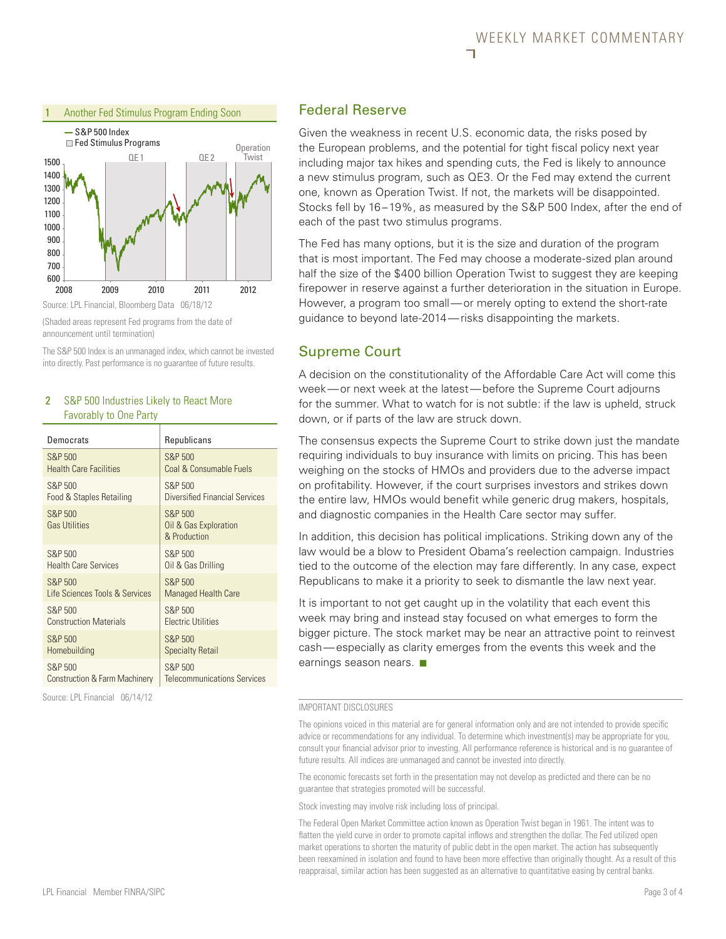

#### Source: LPL Financial, Bloomberg Data 06/18/12

(Shaded areas represent Fed programs from the date of announcement until termination)

The S&P 500 Index is an unmanaged index, which cannot be invested into directly. Past performance is no guarantee of future results.

#### 2 S&P 500 Industries Likely to React More Favorably to One Party

| Democrats                       | Republicans                                      |
|---------------------------------|--------------------------------------------------|
| <b>S&amp;P 500</b>              | S&P 500                                          |
| <b>Health Care Facilities</b>   | Coal & Consumable Fuels                          |
| S&P 500                         | S&P 500                                          |
| Food & Staples Retailing        | Diversified Financial Services                   |
| S&P 500<br><b>Gas Utilities</b> | S&P 500<br>Oil & Gas Exploration<br>& Production |
| S&P 500                         | S&P 500                                          |
| <b>Health Care Services</b>     | Oil & Gas Drilling                               |
| S&P 500                         | S&P 500                                          |
| Life Sciences Tools & Services  | <b>Managed Health Care</b>                       |
| S&P 500                         | S&P 500                                          |
| <b>Construction Materials</b>   | <b>Flectric Utilities</b>                        |
| S&P 500                         | S&P 500                                          |
| Homebuilding                    | <b>Specialty Retail</b>                          |
| S&P 500                         | S&P 500                                          |
| Construction & Farm Machinery   | Telecommunications Services                      |

Source: LPL Financial 06/14/12

### Federal Reserve

Given the weakness in recent U.S. economic data, the risks posed by the European problems, and the potential for tight fiscal policy next year including major tax hikes and spending cuts, the Fed is likely to announce a new stimulus program, such as QE3. Or the Fed may extend the current one, known as Operation Twist. If not, the markets will be disappointed. Stocks fell by 16–19%, as measured by the S&P 500 Index, after the end of each of the past two stimulus programs.

The Fed has many options, but it is the size and duration of the program that is most important. The Fed may choose a moderate-sized plan around half the size of the \$400 billion Operation Twist to suggest they are keeping firepower in reserve against a further deterioration in the situation in Europe. However, a program too small—or merely opting to extend the short-rate guidance to beyond late-2014—risks disappointing the markets.

# Supreme Court

A decision on the constitutionality of the Affordable Care Act will come this week—or next week at the latest—before the Supreme Court adjourns for the summer. What to watch for is not subtle: if the law is upheld, struck down, or if parts of the law are struck down.

The consensus expects the Supreme Court to strike down just the mandate requiring individuals to buy insurance with limits on pricing. This has been weighing on the stocks of HMOs and providers due to the adverse impact on profitability. However, if the court surprises investors and strikes down the entire law, HMOs would benefit while generic drug makers, hospitals, and diagnostic companies in the Health Care sector may suffer.

In addition, this decision has political implications. Striking down any of the law would be a blow to President Obama's reelection campaign. Industries tied to the outcome of the election may fare differently. In any case, expect Republicans to make it a priority to seek to dismantle the law next year.

It is important to not get caught up in the volatility that each event this week may bring and instead stay focused on what emerges to form the bigger picture. The stock market may be near an attractive point to reinvest cash—especially as clarity emerges from the events this week and the earnings season nears.  $\blacksquare$ 

#### IMPORTANT DISCLOSURES

The opinions voiced in this material are for general information only and are not intended to provide specific advice or recommendations for any individual. To determine which investment(s) may be appropriate for you, consult your financial advisor prior to investing. All performance reference is historical and is no guarantee of future results. All indices are unmanaged and cannot be invested into directly.

The economic forecasts set forth in the presentation may not develop as predicted and there can be no guarantee that strategies promoted will be successful.

Stock investing may involve risk including loss of principal.

The Federal Open Market Committee action known as Operation Twist began in 1961. The intent was to flatten the yield curve in order to promote capital inflows and strengthen the dollar. The Fed utilized open market operations to shorten the maturity of public debt in the open market. The action has subsequently been reexamined in isolation and found to have been more effective than originally thought. As a result of this reappraisal, similar action has been suggested as an alternative to quantitative easing by central banks.